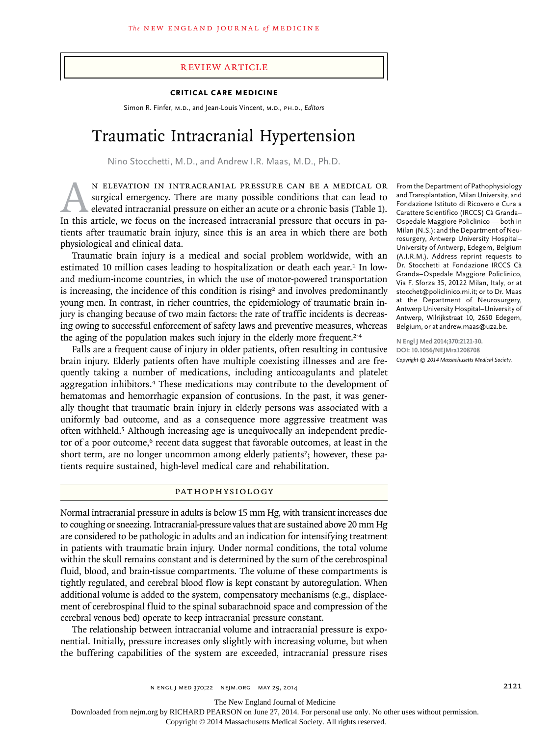#### review article

#### **Critical Care Medicine**

Simon R. Finfer, M.D., and Jean-Louis Vincent, M.D., Ph.D., *Editors*

# Traumatic Intracranial Hypertension

Nino Stocchetti, M.D., and Andrew I.R. Maas, M.D., Ph.D.

N ELEVATION IN INTRACRANIAL PRESSURE CAN BE A MEDICAL OR surgical emergency. There are many possible conditions that can lead to elevated intracranial pressure on either an acute or a chronic basis (Table 1). In this artic surgical emergency. There are many possible conditions that can lead to elevated intracranial pressure on either an acute or a chronic basis (Table 1). In this article, we focus on the increased intracranial pressure that occurs in patients after traumatic brain injury, since this is an area in which there are both physiological and clinical data.

Traumatic brain injury is a medical and social problem worldwide, with an estimated 10 million cases leading to hospitalization or death each year.<sup>1</sup> In lowand medium-income countries, in which the use of motor-powered transportation is increasing, the incidence of this condition is rising<sup>2</sup> and involves predominantly young men. In contrast, in richer countries, the epidemiology of traumatic brain injury is changing because of two main factors: the rate of traffic incidents is decreasing owing to successful enforcement of safety laws and preventive measures, whereas the aging of the population makes such injury in the elderly more frequent.<sup>2-4</sup>

Falls are a frequent cause of injury in older patients, often resulting in contusive brain injury. Elderly patients often have multiple coexisting illnesses and are frequently taking a number of medications, including anticoagulants and platelet aggregation inhibitors.4 These medications may contribute to the development of hematomas and hemorrhagic expansion of contusions. In the past, it was generally thought that traumatic brain injury in elderly persons was associated with a uniformly bad outcome, and as a consequence more aggressive treatment was often withheld.5 Although increasing age is unequivocally an independent predictor of a poor outcome,<sup>6</sup> recent data suggest that favorable outcomes, at least in the short term, are no longer uncommon among elderly patients<sup>7</sup>; however, these patients require sustained, high-level medical care and rehabilitation.

## Pathophysiology

Normal intracranial pressure in adults is below 15 mm Hg, with transient increases due to coughing or sneezing. Intracranial-pressure values that are sustained above 20 mm Hg are considered to be pathologic in adults and an indication for intensifying treatment in patients with traumatic brain injury. Under normal conditions, the total volume within the skull remains constant and is determined by the sum of the cerebrospinal fluid, blood, and brain-tissue compartments. The volume of these compartments is tightly regulated, and cerebral blood flow is kept constant by autoregulation. When additional volume is added to the system, compensatory mechanisms (e.g., displacement of cerebrospinal fluid to the spinal subarachnoid space and compression of the cerebral venous bed) operate to keep intracranial pressure constant.

The relationship between intracranial volume and intracranial pressure is exponential. Initially, pressure increases only slightly with increasing volume, but when the buffering capabilities of the system are exceeded, intracranial pressure rises

From the Department of Pathophysiology and Transplantation, Milan University, and Fondazione Istituto di Ricovero e Cura a Carattere Scientifico (IRCCS) Cà Granda– Ospedale Maggiore Policlinico — both in Milan (N.S.); and the Department of Neurosurgery, Antwerp University Hospital– University of Antwerp, Edegem, Belgium (A.I.R.M.). Address reprint requests to Dr. Stocchetti at Fondazione IRCCS Cà Granda–Ospedale Maggiore Policlinico, Via F. Sforza 35, 20122 Milan, Italy, or at stocchet@policlinico.mi.it; or to Dr. Maas at the Department of Neurosurgery, Antwerp University Hospital–University of Antwerp, Wilrijkstraat 10, 2650 Edegem, Belgium, or at andrew.maas@uza.be.

**N Engl J Med 2014;370:2121-30. DOI: 10.1056/NEJMra1208708** *Copyright © 2014 Massachusetts Medical Society.*

The New England Journal of Medicine

Downloaded from nejm.org by RICHARD PEARSON on June 27, 2014. For personal use only. No other uses without permission.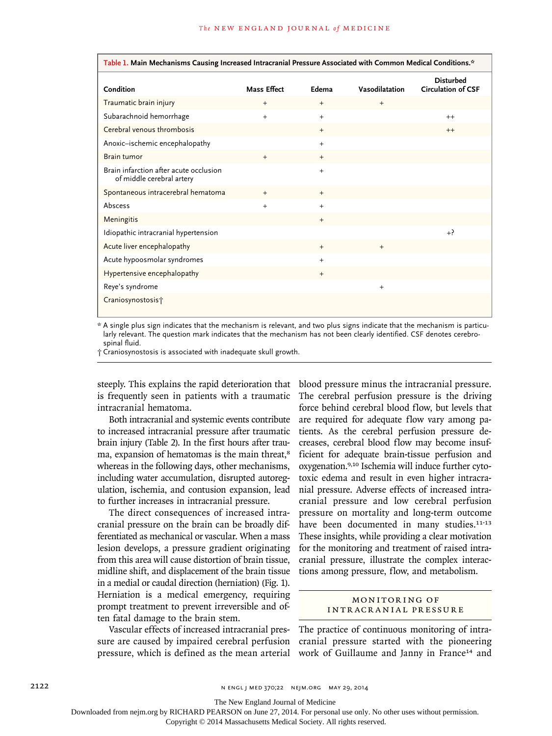| Table 1. Main Mechanisms Causing Increased Intracranial Pressure Associated with Common Medical Conditions.* |             |       |                |                                        |
|--------------------------------------------------------------------------------------------------------------|-------------|-------|----------------|----------------------------------------|
| Condition                                                                                                    | Mass Effect | Edema | Vasodilatation | <b>Disturbed</b><br>Circulation of CSF |
| Traumatic brain injury                                                                                       | $+$         | $+$   | $^{+}$         |                                        |
| Subarachnoid hemorrhage                                                                                      | $+$         | $+$   |                | $^{++}$                                |
| Cerebral venous thrombosis                                                                                   |             | $+$   |                | $++$                                   |
| Anoxic-ischemic encephalopathy                                                                               |             | $+$   |                |                                        |
| <b>Brain tumor</b>                                                                                           | $^{+}$      | $+$   |                |                                        |
| Brain infarction after acute occlusion<br>of middle cerebral artery                                          |             | $+$   |                |                                        |
| Spontaneous intracerebral hematoma                                                                           | $+$         | $+$   |                |                                        |
| Abscess                                                                                                      | $+$         | $+$   |                |                                        |
| Meningitis                                                                                                   |             | $+$   |                |                                        |
| Idiopathic intracranial hypertension                                                                         |             |       |                | $^{+2}$                                |
| Acute liver encephalopathy                                                                                   |             | $+$   | $^{+}$         |                                        |
| Acute hypoosmolar syndromes                                                                                  |             | $+$   |                |                                        |
| Hypertensive encephalopathy                                                                                  |             | $+$   |                |                                        |
| Reye's syndrome                                                                                              |             |       | $+$            |                                        |
| Craniosynostosis <sup>+</sup>                                                                                |             |       |                |                                        |

\* A single plus sign indicates that the mechanism is relevant, and two plus signs indicate that the mechanism is particularly relevant. The question mark indicates that the mechanism has not been clearly identified. CSF denotes cerebrospinal fluid.

† Craniosynostosis is associated with inadequate skull growth.

steeply. This explains the rapid deterioration that is frequently seen in patients with a traumatic intracranial hematoma.

Both intracranial and systemic events contribute to increased intracranial pressure after traumatic brain injury (Table 2). In the first hours after trauma, expansion of hematomas is the main threat,<sup>8</sup> whereas in the following days, other mechanisms, including water accumulation, disrupted autoregulation, ischemia, and contusion expansion, lead to further increases in intracranial pressure.

The direct consequences of increased intracranial pressure on the brain can be broadly differentiated as mechanical or vascular. When a mass lesion develops, a pressure gradient originating from this area will cause distortion of brain tissue, midline shift, and displacement of the brain tissue in a medial or caudal direction (herniation) (Fig. 1). Herniation is a medical emergency, requiring prompt treatment to prevent irreversible and often fatal damage to the brain stem.

Vascular effects of increased intracranial pressure are caused by impaired cerebral perfusion pressure, which is defined as the mean arterial

blood pressure minus the intracranial pressure. The cerebral perfusion pressure is the driving force behind cerebral blood flow, but levels that are required for adequate flow vary among patients. As the cerebral perfusion pressure decreases, cerebral blood flow may become insufficient for adequate brain-tissue perfusion and oxygenation.9,10 Ischemia will induce further cytotoxic edema and result in even higher intracranial pressure. Adverse effects of increased intracranial pressure and low cerebral perfusion pressure on mortality and long-term outcome have been documented in many studies.<sup>11-13</sup> These insights, while providing a clear motivation for the monitoring and treatment of raised intracranial pressure, illustrate the complex interactions among pressure, flow, and metabolism.

#### MONITORING OF Intracranial Pressure

The practice of continuous monitoring of intracranial pressure started with the pioneering work of Guillaume and Janny in France<sup>14</sup> and

2122 **N ENGL | MED 370;22 NEIM.ORG MAY 29, 2014** 

The New England Journal of Medicine

Downloaded from nejm.org by RICHARD PEARSON on June 27, 2014. For personal use only. No other uses without permission.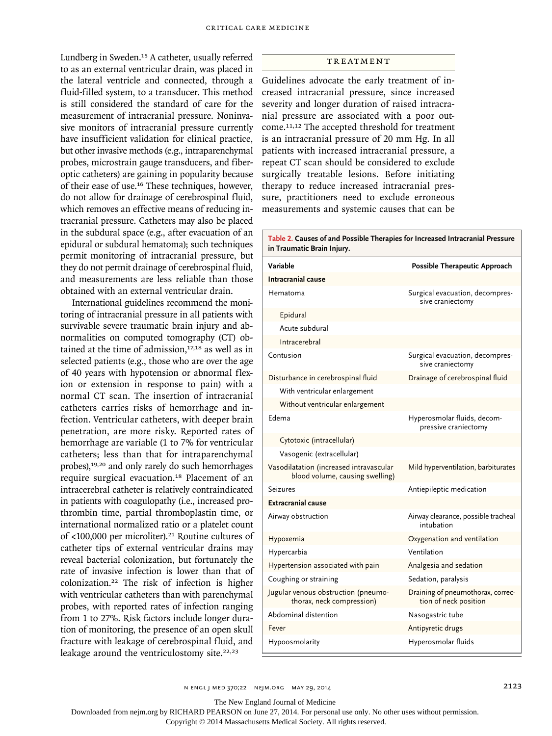Lundberg in Sweden.<sup>15</sup> A catheter, usually referred to as an external ventricular drain, was placed in the lateral ventricle and connected, through a fluid-filled system, to a transducer. This method is still considered the standard of care for the measurement of intracranial pressure. Noninvasive monitors of intracranial pressure currently have insufficient validation for clinical practice, but other invasive methods (e.g., intraparenchymal probes, microstrain gauge transducers, and fiberoptic catheters) are gaining in popularity because of their ease of use.<sup>16</sup> These techniques, however, do not allow for drainage of cerebrospinal fluid, which removes an effective means of reducing intracranial pressure. Catheters may also be placed in the subdural space (e.g., after evacuation of an epidural or subdural hematoma); such techniques permit monitoring of intracranial pressure, but they do not permit drainage of cerebrospinal fluid, and measurements are less reliable than those obtained with an external ventricular drain.

International guidelines recommend the monitoring of intracranial pressure in all patients with survivable severe traumatic brain injury and abnormalities on computed tomography (CT) obtained at the time of admission,<sup>17,18</sup> as well as in selected patients (e.g., those who are over the age of 40 years with hypotension or abnormal flexion or extension in response to pain) with a normal CT scan. The insertion of intracranial catheters carries risks of hemorrhage and infection. Ventricular catheters, with deeper brain penetration, are more risky. Reported rates of hemorrhage are variable (1 to 7% for ventricular catheters; less than that for intraparenchymal probes),19,20 and only rarely do such hemorrhages require surgical evacuation.18 Placement of an intracerebral catheter is relatively contraindicated in patients with coagulopathy (i.e., increased prothrombin time, partial thromboplastin time, or international normalized ratio or a platelet count of <100,000 per microliter).<sup>21</sup> Routine cultures of catheter tips of external ventricular drains may reveal bacterial colonization, but fortunately the rate of invasive infection is lower than that of colonization.22 The risk of infection is higher with ventricular catheters than with parenchymal probes, with reported rates of infection ranging from 1 to 27%. Risk factors include longer duration of monitoring, the presence of an open skull fracture with leakage of cerebrospinal fluid, and leakage around the ventriculostomy site.<sup>22,23</sup>

#### **TREATMENT**

Guidelines advocate the early treatment of increased intracranial pressure, since increased severity and longer duration of raised intracranial pressure are associated with a poor outcome.11,12 The accepted threshold for treatment is an intracranial pressure of 20 mm Hg. In all patients with increased intracranial pressure, a repeat CT scan should be considered to exclude surgically treatable lesions. Before initiating therapy to reduce increased intracranial pressure, practitioners need to exclude erroneous measurements and systemic causes that can be

| in Traumatic Brain Injury.                                                 |                                                            |  |  |  |
|----------------------------------------------------------------------------|------------------------------------------------------------|--|--|--|
| Variable                                                                   | Possible Therapeutic Approach                              |  |  |  |
| Intracranial cause                                                         |                                                            |  |  |  |
| Hematoma                                                                   | Surgical evacuation, decompres-<br>sive craniectomy        |  |  |  |
| Epidural                                                                   |                                                            |  |  |  |
| Acute subdural                                                             |                                                            |  |  |  |
| Intracerebral                                                              |                                                            |  |  |  |
| Contusion                                                                  | Surgical evacuation, decompres-<br>sive craniectomy        |  |  |  |
| Disturbance in cerebrospinal fluid                                         | Drainage of cerebrospinal fluid                            |  |  |  |
| With ventricular enlargement                                               |                                                            |  |  |  |
| Without ventricular enlargement                                            |                                                            |  |  |  |
| Edema                                                                      | Hyperosmolar fluids, decom-<br>pressive craniectomy        |  |  |  |
| Cytotoxic (intracellular)                                                  |                                                            |  |  |  |
| Vasogenic (extracellular)                                                  |                                                            |  |  |  |
| Vasodilatation (increased intravascular<br>blood volume, causing swelling) | Mild hyperventilation, barbiturates                        |  |  |  |
| Seizures                                                                   | Antiepileptic medication                                   |  |  |  |
| <b>Extracranial cause</b>                                                  |                                                            |  |  |  |
| Airway obstruction                                                         | Airway clearance, possible tracheal<br>intubation          |  |  |  |
| Hypoxemia                                                                  | Oxygenation and ventilation                                |  |  |  |
| Hypercarbia                                                                | Ventilation                                                |  |  |  |
| Hypertension associated with pain                                          | Analgesia and sedation                                     |  |  |  |
| Coughing or straining                                                      | Sedation, paralysis                                        |  |  |  |
| Jugular venous obstruction (pneumo-<br>thorax, neck compression)           | Draining of pneumothorax, correc-<br>tion of neck position |  |  |  |
| Abdominal distention                                                       | Nasogastric tube                                           |  |  |  |
| Fever                                                                      | Antipyretic drugs                                          |  |  |  |
| Hypoosmolarity                                                             | Hyperosmolar fluids                                        |  |  |  |

# **Table 2. Causes of and Possible Therapies for Increased Intracranial Pressure**

n engl j med 370;22 nejm.org may 29, 2014 2123

The New England Journal of Medicine

Downloaded from nejm.org by RICHARD PEARSON on June 27, 2014. For personal use only. No other uses without permission.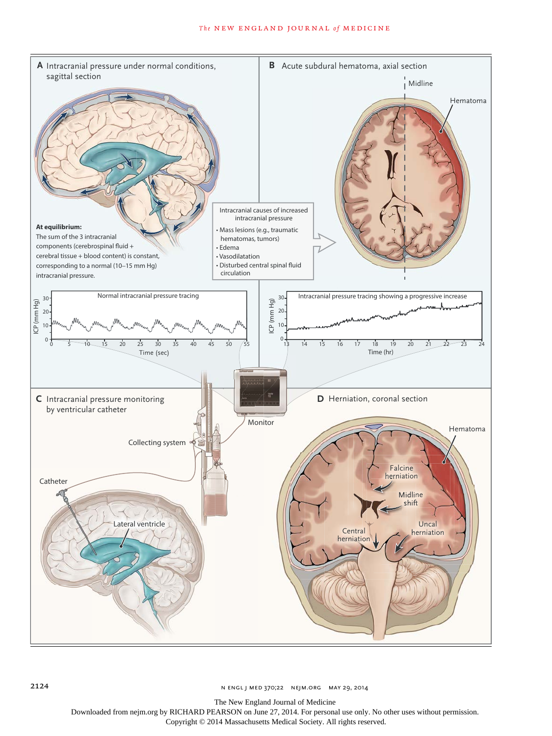

The New England Journal of Medicine

Downloaded from nejm.org by RICHARD PEARSON on June 27, 2014. For personal use only. No other uses without permission.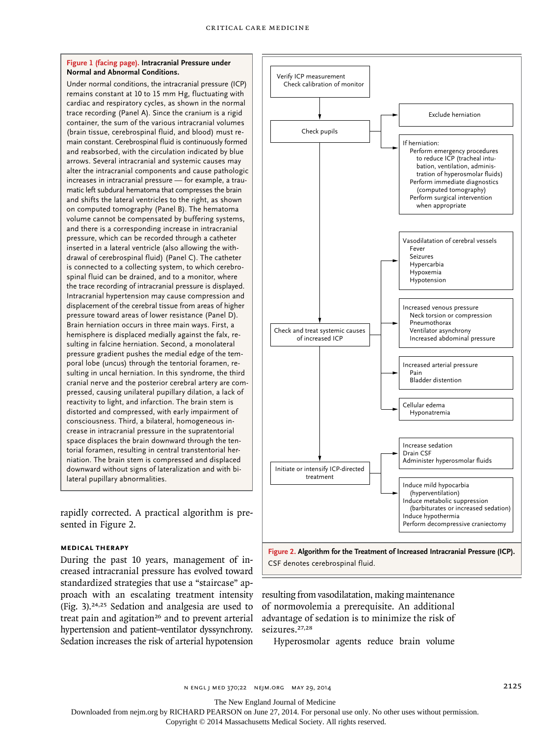#### **Figure 1 (facing page). Intracranial Pressure under Normal and Abnormal Conditions.**

Under normal conditions, the intracranial pressure (ICP) remains constant at 10 to 15 mm Hg, fluctuating with cardiac and respiratory cycles, as shown in the normal trace recording (Panel A). Since the cranium is a rigid container, the sum of the various intracranial volumes (brain tissue, cerebrospinal fluid, and blood) must remain constant. Cerebrospinal fluid is continuously formed and reabsorbed, with the circulation indicated by blue arrows. Several intracranial and systemic causes may alter the intracranial components and cause pathologic increases in intracranial pressure — for example, a traumatic left subdural hematoma that compresses the brain and shifts the lateral ventricles to the right, as shown on computed tomography (Panel B). The hematoma volume cannot be compensated by buffering systems, and there is a corresponding increase in intracranial pressure, which can be recorded through a catheter inserted in a lateral ventricle (also allowing the withdrawal of cerebrospinal fluid) (Panel C). The catheter is connected to a collecting system, to which cerebrospinal fluid can be drained, and to a monitor, where the trace recording of intracranial pressure is displayed. Intracranial hypertension may cause compression and displacement of the cerebral tissue from areas of higher pressure toward areas of lower resistance (Panel D). Brain herniation occurs in three main ways. First, a hemisphere is displaced medially against the falx, resulting in falcine herniation. Second, a monolateral pressure gradient pushes the medial edge of the temporal lobe (uncus) through the tentorial foramen, resulting in uncal herniation. In this syndrome, the third cranial nerve and the posterior cerebral artery are compressed, causing unilateral pupillary dilation, a lack of reactivity to light, and infarction. The brain stem is distorted and compressed, with early impairment of consciousness. Third, a bilateral, homogeneous increase in intracranial pressure in the supratentorial space displaces the brain downward through the tentorial foramen, resulting in central transtentorial herniation. The brain stem is compressed and displaced downward without signs of lateralization and with bilateral pupillary abnormalities.

rapidly corrected. A practical algorithm is presented in Figure 2.

#### **Medical Therapy**

During the past 10 years, management of increased intracranial pressure has evolved toward standardized strategies that use a "staircase" approach with an escalating treatment intensity resulting from vasodilatation, making maintenance (Fig. 3).24,25 Sedation and analgesia are used to treat pain and agitation<sup>26</sup> and to prevent arterial hypertension and patient–ventilator dyssynchrony. Sedation increases the risk of arterial hypotension



of normovolemia a prerequisite. An additional advantage of sedation is to minimize the risk of seizures.<sup>27,28</sup>

Hyperosmolar agents reduce brain volume

n engl j med 370;22 nejm.org may 29, 2014 2125

The New England Journal of Medicine

Downloaded from nejm.org by RICHARD PEARSON on June 27, 2014. For personal use only. No other uses without permission.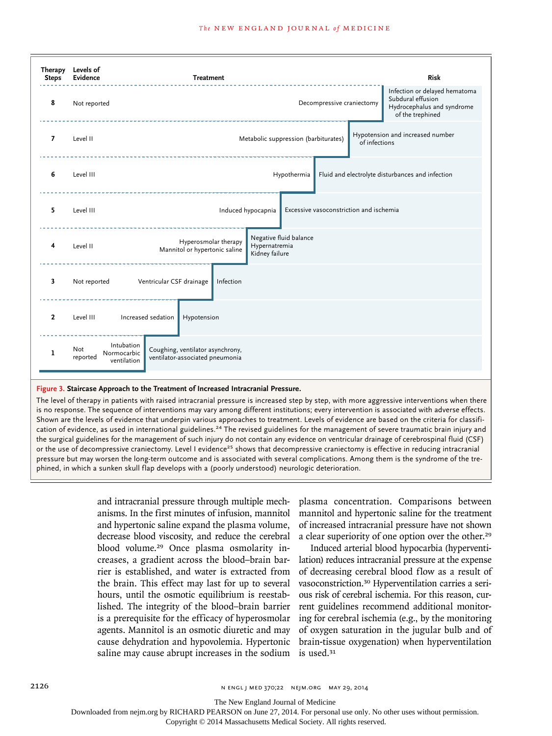

#### **Figure 3. Staircase Approach to the Treatment of Increased Intracranial Pressure.**

ī

The level of therapy in patients with raised intracranial pressure is increased step by step, with more aggressive interventions when there is no response. The sequence of interventions may vary among different institutions; every intervention is associated with adverse effects. Shown are the levels of evidence that underpin various approaches to treatment. Levels of evidence are based on the criteria for classification of evidence, as used in international guidelines.<sup>24</sup> The revised guidelines for the management of severe traumatic brain injury and the surgical guidelines for the management of such injury do not contain any evidence on ventricular drainage of cerebrospinal fluid (CSF) or the use of decompressive craniectomy. Level I evidence<sup>25</sup> shows that decompressive craniectomy is effective in reducing intracranial pressure but may worsen the long-term outcome and is associated with several complications. Among them is the syndrome of the trephined, in which a sunken skull flap develops with a (poorly understood) neurologic deterioration.

> and intracranial pressure through multiple mechanisms. In the first minutes of infusion, mannitol and hypertonic saline expand the plasma volume, decrease blood viscosity, and reduce the cerebral blood volume.29 Once plasma osmolarity increases, a gradient across the blood–brain barrier is established, and water is extracted from the brain. This effect may last for up to several hours, until the osmotic equilibrium is reestablished. The integrity of the blood–brain barrier is a prerequisite for the efficacy of hyperosmolar agents. Mannitol is an osmotic diuretic and may cause dehydration and hypovolemia. Hypertonic saline may cause abrupt increases in the sodium

plasma concentration. Comparisons between mannitol and hypertonic saline for the treatment of increased intracranial pressure have not shown a clear superiority of one option over the other.<sup>29</sup>

Induced arterial blood hypocarbia (hyperventilation) reduces intracranial pressure at the expense of decreasing cerebral blood flow as a result of vasoconstriction.30 Hyperventilation carries a serious risk of cerebral ischemia. For this reason, current guidelines recommend additional monitoring for cerebral ischemia (e.g., by the monitoring of oxygen saturation in the jugular bulb and of brain-tissue oxygenation) when hyperventilation is used.<sup>31</sup>

The New England Journal of Medicine

Downloaded from nejm.org by RICHARD PEARSON on June 27, 2014. For personal use only. No other uses without permission.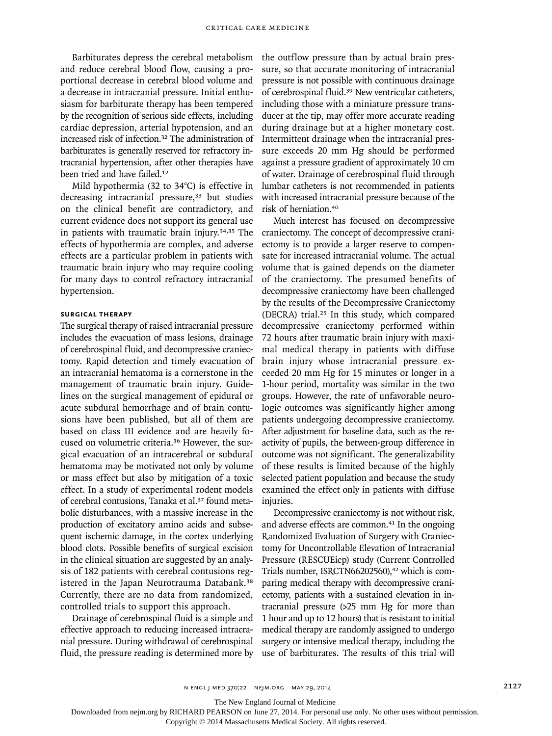Barbiturates depress the cerebral metabolism and reduce cerebral blood flow, causing a proportional decrease in cerebral blood volume and a decrease in intracranial pressure. Initial enthusiasm for barbiturate therapy has been tempered by the recognition of serious side effects, including cardiac depression, arterial hypotension, and an increased risk of infection.32 The administration of barbiturates is generally reserved for refractory intracranial hypertension, after other therapies have been tried and have failed.<sup>12</sup>

Mild hypothermia (32 to 34°C) is effective in decreasing intracranial pressure,<sup>33</sup> but studies on the clinical benefit are contradictory, and current evidence does not support its general use in patients with traumatic brain injury.34,35 The effects of hypothermia are complex, and adverse effects are a particular problem in patients with traumatic brain injury who may require cooling for many days to control refractory intracranial hypertension.

#### **Surgical Therapy**

The surgical therapy of raised intracranial pressure includes the evacuation of mass lesions, drainage of cerebrospinal fluid, and decompressive craniectomy. Rapid detection and timely evacuation of an intracranial hematoma is a cornerstone in the management of traumatic brain injury. Guidelines on the surgical management of epidural or acute subdural hemorrhage and of brain contusions have been published, but all of them are based on class III evidence and are heavily focused on volumetric criteria.36 However, the surgical evacuation of an intracerebral or subdural hematoma may be motivated not only by volume or mass effect but also by mitigation of a toxic effect. In a study of experimental rodent models of cerebral contusions, Tanaka et al.<sup>37</sup> found metabolic disturbances, with a massive increase in the production of excitatory amino acids and subsequent ischemic damage, in the cortex underlying blood clots. Possible benefits of surgical excision in the clinical situation are suggested by an analysis of 182 patients with cerebral contusions registered in the Japan Neurotrauma Databank.<sup>38</sup> Currently, there are no data from randomized, controlled trials to support this approach.

Drainage of cerebrospinal fluid is a simple and effective approach to reducing increased intracranial pressure. During withdrawal of cerebrospinal fluid, the pressure reading is determined more by the outflow pressure than by actual brain pressure, so that accurate monitoring of intracranial pressure is not possible with continuous drainage of cerebrospinal fluid.39 New ventricular catheters, including those with a miniature pressure transducer at the tip, may offer more accurate reading during drainage but at a higher monetary cost. Intermittent drainage when the intracranial pressure exceeds 20 mm Hg should be performed against a pressure gradient of approximately 10 cm of water. Drainage of cerebrospinal fluid through lumbar catheters is not recommended in patients with increased intracranial pressure because of the risk of herniation.<sup>40</sup>

Much interest has focused on decompressive craniectomy. The concept of decompressive craniectomy is to provide a larger reserve to compensate for increased intracranial volume. The actual volume that is gained depends on the diameter of the craniectomy. The presumed benefits of decompressive craniectomy have been challenged by the results of the Decompressive Craniectomy (DECRA) trial.25 In this study, which compared decompressive craniectomy performed within 72 hours after traumatic brain injury with maximal medical therapy in patients with diffuse brain injury whose intracranial pressure exceeded 20 mm Hg for 15 minutes or longer in a 1-hour period, mortality was similar in the two groups. However, the rate of unfavorable neurologic outcomes was significantly higher among patients undergoing decompressive craniectomy. After adjustment for baseline data, such as the reactivity of pupils, the between-group difference in outcome was not significant. The generalizability of these results is limited because of the highly selected patient population and because the study examined the effect only in patients with diffuse injuries.

Decompressive craniectomy is not without risk, and adverse effects are common.<sup>41</sup> In the ongoing Randomized Evaluation of Surgery with Craniectomy for Uncontrollable Elevation of Intracranial Pressure (RESCUEicp) study (Current Controlled Trials number, ISRCTN66202560),<sup>42</sup> which is comparing medical therapy with decompressive craniectomy, patients with a sustained elevation in intracranial pressure (>25 mm Hg for more than 1 hour and up to 12 hours) that is resistant to initial medical therapy are randomly assigned to undergo surgery or intensive medical therapy, including the use of barbiturates. The results of this trial will

The New England Journal of Medicine

Downloaded from nejm.org by RICHARD PEARSON on June 27, 2014. For personal use only. No other uses without permission.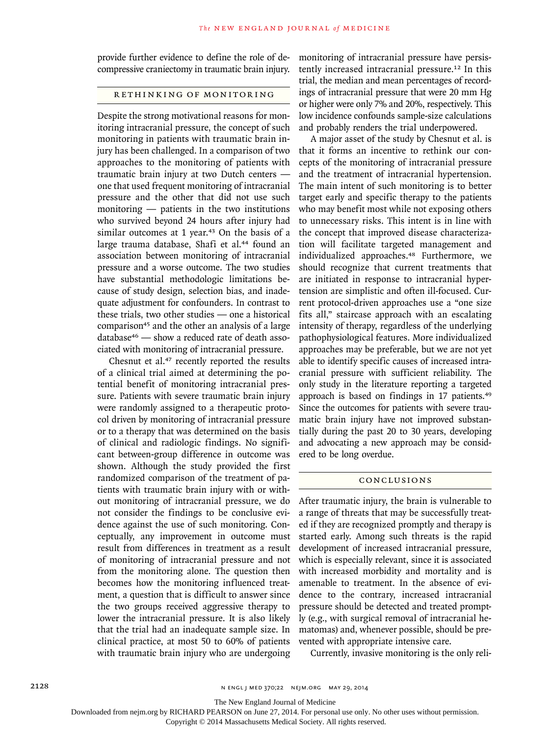provide further evidence to define the role of decompressive craniectomy in traumatic brain injury.

# Rethinking of Monitoring

Despite the strong motivational reasons for monitoring intracranial pressure, the concept of such monitoring in patients with traumatic brain injury has been challenged. In a comparison of two approaches to the monitoring of patients with traumatic brain injury at two Dutch centers one that used frequent monitoring of intracranial pressure and the other that did not use such monitoring — patients in the two institutions who survived beyond 24 hours after injury had similar outcomes at 1 year.<sup>43</sup> On the basis of a large trauma database, Shafi et al.<sup>44</sup> found an association between monitoring of intracranial pressure and a worse outcome. The two studies have substantial methodologic limitations because of study design, selection bias, and inadequate adjustment for confounders. In contrast to these trials, two other studies — one a historical comparison45 and the other an analysis of a large database46 — show a reduced rate of death associated with monitoring of intracranial pressure.

Chesnut et al.<sup>47</sup> recently reported the results of a clinical trial aimed at determining the potential benefit of monitoring intracranial pressure. Patients with severe traumatic brain injury were randomly assigned to a therapeutic protocol driven by monitoring of intracranial pressure or to a therapy that was determined on the basis of clinical and radiologic findings. No significant between-group difference in outcome was shown. Although the study provided the first randomized comparison of the treatment of patients with traumatic brain injury with or without monitoring of intracranial pressure, we do not consider the findings to be conclusive evidence against the use of such monitoring. Conceptually, any improvement in outcome must result from differences in treatment as a result of monitoring of intracranial pressure and not from the monitoring alone. The question then becomes how the monitoring influenced treatment, a question that is difficult to answer since the two groups received aggressive therapy to lower the intracranial pressure. It is also likely that the trial had an inadequate sample size. In clinical practice, at most 50 to 60% of patients with traumatic brain injury who are undergoing

monitoring of intracranial pressure have persistently increased intracranial pressure.12 In this trial, the median and mean percentages of recordings of intracranial pressure that were 20 mm Hg or higher were only 7% and 20%, respectively. This low incidence confounds sample-size calculations and probably renders the trial underpowered.

A major asset of the study by Chesnut et al. is that it forms an incentive to rethink our concepts of the monitoring of intracranial pressure and the treatment of intracranial hypertension. The main intent of such monitoring is to better target early and specific therapy to the patients who may benefit most while not exposing others to unnecessary risks. This intent is in line with the concept that improved disease characterization will facilitate targeted management and individualized approaches.<sup>48</sup> Furthermore, we should recognize that current treatments that are initiated in response to intracranial hypertension are simplistic and often ill-focused. Current protocol-driven approaches use a "one size fits all," staircase approach with an escalating intensity of therapy, regardless of the underlying pathophysiological features. More individualized approaches may be preferable, but we are not yet able to identify specific causes of increased intracranial pressure with sufficient reliability. The only study in the literature reporting a targeted approach is based on findings in 17 patients.<sup>49</sup> Since the outcomes for patients with severe traumatic brain injury have not improved substantially during the past 20 to 30 years, developing and advocating a new approach may be considered to be long overdue.

### Conclusions

After traumatic injury, the brain is vulnerable to a range of threats that may be successfully treated if they are recognized promptly and therapy is started early. Among such threats is the rapid development of increased intracranial pressure, which is especially relevant, since it is associated with increased morbidity and mortality and is amenable to treatment. In the absence of evidence to the contrary, increased intracranial pressure should be detected and treated promptly (e.g., with surgical removal of intracranial hematomas) and, whenever possible, should be prevented with appropriate intensive care.

Currently, invasive monitoring is the only reli-

The New England Journal of Medicine

Downloaded from nejm.org by RICHARD PEARSON on June 27, 2014. For personal use only. No other uses without permission.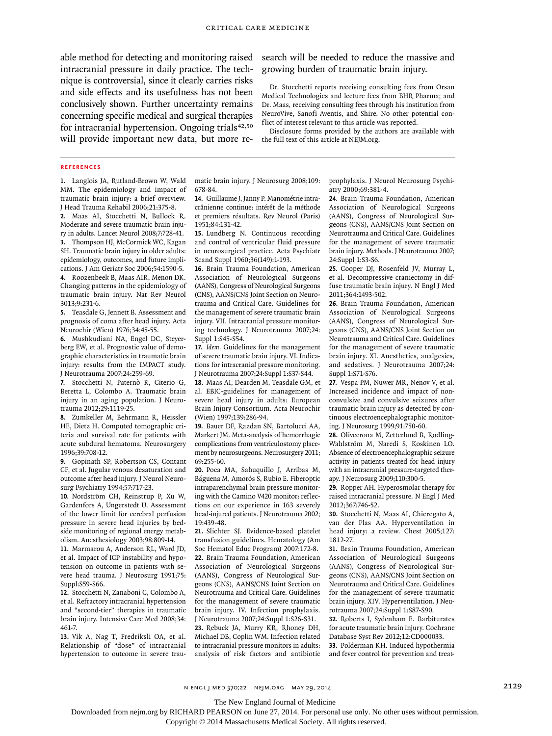able method for detecting and monitoring raised search will be needed to reduce the massive and intracranial pressure in daily practice. The technique is controversial, since it clearly carries risks and side effects and its usefulness has not been conclusively shown. Further uncertainty remains concerning specific medical and surgical therapies for intracranial hypertension. Ongoing trials<sup>42,50</sup> will provide important new data, but more re-

growing burden of traumatic brain injury.

Dr. Stocchetti reports receiving consulting fees from Orsan Medical Technologies and lecture fees from BHR Pharma; and Dr. Maas, receiving consulting fees through his institution from NeuroVive, Sanofi Aventis, and Shire. No other potential conflict of interest relevant to this article was reported.

Disclosure forms provided by the authors are available with the full text of this article at NEJM.org.

#### **References**

**1.** Langlois JA, Rutland-Brown W, Wald MM. The epidemiology and impact of traumatic brain injury: a brief overview. J Head Trauma Rehabil 2006;21:375-8.

**2.** Maas AI, Stocchetti N, Bullock R. Moderate and severe traumatic brain injury in adults. Lancet Neurol 2008;7:728-41.

**3.** Thompson HJ, McCormick WC, Kagan SH. Traumatic brain injury in older adults: epidemiology, outcomes, and future implications. J Am Geriatr Soc 2006;54:1590-5. **4.** Roozenbeek B, Maas AIR, Menon DK.

Changing patterns in the epidemiology of traumatic brain injury. Nat Rev Neurol 3013;9:231-6.

**5.** Teasdale G, Jennett B. Assessment and prognosis of coma after head injury. Acta Neurochir (Wien) 1976;34:45-55.

**6.** Mushkudiani NA, Engel DC, Steyerberg EW, et al. Prognostic value of demographic characteristics in traumatic brain injury: results from the IMPACT study. J Neurotrauma 2007;24:259-69.

**7.** Stocchetti N, Paternò R, Citerio G, Beretta L, Colombo A. Traumatic brain injury in an aging population. J Neurotrauma 2012;29:1119-25.

**8.** Zumkeller M, Behrmann R, Heissler HE, Dietz H. Computed tomographic criteria and survival rate for patients with acute subdural hematoma. Neurosurgery 1996;39:708-12.

**9.** Gopinath SP, Robertson CS, Contant CF, et al. Jugular venous desaturation and outcome after head injury. J Neurol Neurosurg Psychiatry 1994;57:717-23.

**10.** Nordström CH, Reinstrup P, Xu W, Gardenfors A, Ungerstedt U. Assessment of the lower limit for cerebral perfusion pressure in severe head injuries by bedside monitoring of regional energy metabolism. Anesthesiology 2003;98:809-14.

**11.** Marmarou A, Anderson RL, Ward JD, et al. Impact of ICP instability and hypotension on outcome in patients with severe head trauma. J Neurosurg 1991;75: Suppl:S59-S66.

**12.** Stocchetti N, Zanaboni C, Colombo A, et al. Refractory intracranial hypertension and "second-tier" therapies in traumatic brain injury. Intensive Care Med 2008;34: 461-7.

**13.** Vik A, Nag T, Fredriksli OA, et al. Relationship of "dose" of intracranial hypertension to outcome in severe traumatic brain injury. J Neurosurg 2008;109: 678-84.

**14.** Guillaume J, Janny P. Manométrie intracrânienne continue: intérêt de la méthode et premiers résultats. Rev Neurol (Paris) 1951;84:131-42.

**15.** Lundberg N. Continuous recording and control of ventricular fluid pressure in neurosurgical practice. Acta Psychiatr Scand Suppl 1960;36(149):1-193.

**16.** Brain Trauma Foundation, American Association of Neurological Surgeons (AANS), Congress of Neurological Surgeons (CNS), AANS/CNS Joint Section on Neurotrauma and Critical Care. Guidelines for the management of severe traumatic brain injury. VII. Intracranial pressure monitoring technology. J Neurotrauma 2007;24: Suppl 1:S45-S54.

**17.** *Idem.* Guidelines for the management of severe traumatic brain injury. VI. Indications for intracranial pressure monitoring. J Neurotrauma 2007;24:Suppl 1:S37-S44.

**18.** Maas AI, Dearden M, Teasdale GM, et al. EBIC-guidelines for management of severe head injury in adults: European Brain Injury Consortium. Acta Neurochir (Wien) 1997;139:286-94.

**19.** Bauer DF, Razdan SN, Bartolucci AA, Markert JM. Meta-analysis of hemorrhagic complications from ventriculostomy placement by neurosurgeons. Neurosurgery 2011; 69:255-60.

**20.** Poca MA, Sahuquillo J, Arribas M, Báguena M, Amorós S, Rubio E. Fiberoptic intraparenchymal brain pressure monitoring with the Camino V420 monitor: reflections on our experience in 163 severely head-injured patients. J Neurotrauma 2002; 19:439-48.

**21.** Slichter SJ. Evidence-based platelet transfusion guidelines. Hematology (Am Soc Hematol Educ Program) 2007:172-8. **22.** Brain Trauma Foundation, American Association of Neurological Surgeons (AANS), Congress of Neurological Surgeons (CNS), AANS/CNS Joint Section on Neurotrauma and Critical Care. Guidelines for the management of severe traumatic brain injury. IV. Infection prophylaxis. J Neurotrauma 2007;24:Suppl 1:S26-S31.

**23.** Rebuck JA, Murry KR, Rhoney DH, Michael DB, Coplin WM. Infection related to intracranial pressure monitors in adults: analysis of risk factors and antibiotic prophylaxis. J Neurol Neurosurg Psychiatry 2000;69:381-4.

**24.** Brain Trauma Foundation, American Association of Neurological Surgeons (AANS), Congress of Neurological Surgeons (CNS), AANS/CNS Joint Section on Neurotrauma and Critical Care. Guidelines for the management of severe traumatic brain injury. Methods. J Neurotrauma 2007; 24:Suppl 1:S3-S6.

**25.** Cooper DJ, Rosenfeld JV, Murray L, et al. Decompressive craniectomy in diffuse traumatic brain injury. N Engl J Med 2011;364:1493-502.

**26.** Brain Trauma Foundation, American Association of Neurological Surgeons (AANS), Congress of Neurological Surgeons (CNS), AANS/CNS Joint Section on Neurotrauma and Critical Care. Guidelines for the management of severe traumatic brain injury. XI. Anesthetics, analgesics, and sedatives. J Neurotrauma 2007;24: Suppl 1:S71-S76.

**27.** Vespa PM, Nuwer MR, Nenov V, et al. Increased incidence and impact of nonconvulsive and convulsive seizures after traumatic brain injury as detected by continuous electroencephalographic monitoring. J Neurosurg 1999;91:750-60.

**28.** Olivecrona M, Zetterlund B, Rodling-Wahlström M, Naredi S, Koskinen LO. Absence of electroencephalographic seizure activity in patients treated for head injury with an intracranial pressure-targeted therapy. J Neurosurg 2009;110:300-5.

**29.** Ropper AH. Hyperosmolar therapy for raised intracranial pressure. N Engl J Med 2012;367:746-52.

**30.** Stocchetti N, Maas AI, Chieregato A, van der Plas AA. Hyperventilation in head injury: a review. Chest 2005;127: 1812-27.

**31.** Brain Trauma Foundation, American Association of Neurological Surgeons (AANS), Congress of Neurological Surgeons (CNS), AANS/CNS Joint Section on Neurotrauma and Critical Care. Guidelines for the management of severe traumatic brain injury. XIV. Hyperventilation. J Neurotrauma 2007;24:Suppl 1:S87-S90.

**32.** Roberts I, Sydenham E. Barbiturates for acute traumatic brain injury. Cochrane Database Syst Rev 2012;12:CD000033.

**33.** Polderman KH. Induced hypothermia and fever control for prevention and treat-

n engl j med 370;22 nejm.org may 29, 2014 2129

The New England Journal of Medicine

Downloaded from nejm.org by RICHARD PEARSON on June 27, 2014. For personal use only. No other uses without permission.